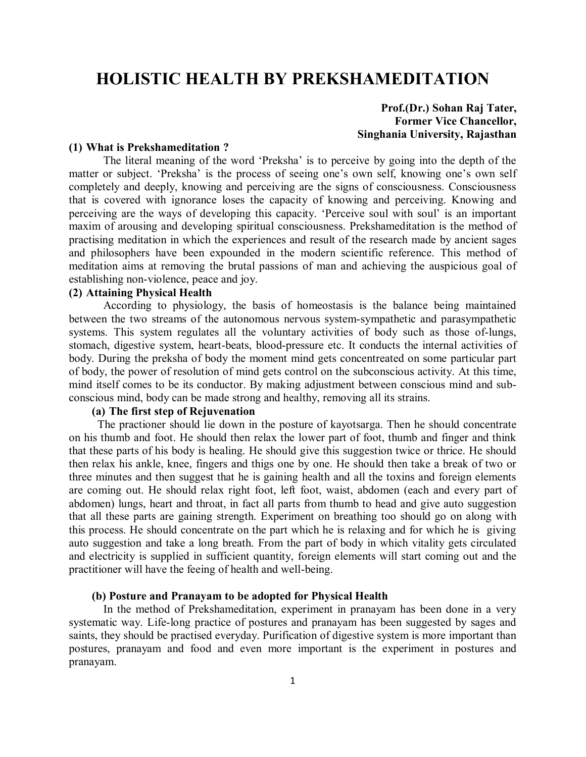# **HOLISTIC HEALTH BY PREKSHAMEDITATION**

## **Prof.(Dr.) Sohan Raj Tater, Former Vice Chancellor, Singhania University, Rajasthan**

## **(1) What is Prekshameditation ?**

 The literal meaning of the word 'Preksha' is to perceive by going into the depth of the matter or subject. 'Preksha' is the process of seeing one's own self, knowing one's own self completely and deeply, knowing and perceiving are the signs of consciousness. Consciousness that is covered with ignorance loses the capacity of knowing and perceiving. Knowing and perceiving are the ways of developing this capacity. 'Perceive soul with soul' is an important maxim of arousing and developing spiritual consciousness. Prekshameditation is the method of practising meditation in which the experiences and result of the research made by ancient sages and philosophers have been expounded in the modern scientific reference. This method of meditation aims at removing the brutal passions of man and achieving the auspicious goal of establishing non-violence, peace and joy.

## **(2) Attaining Physical Health**

According to physiology, the basis of homeostasis is the balance being maintained between the two streams of the autonomous nervous system-sympathetic and parasympathetic systems. This system regulates all the voluntary activities of body such as those of-lungs, stomach, digestive system, heart-beats, blood-pressure etc. It conducts the internal activities of body. During the preksha of body the moment mind gets concentreated on some particular part of body, the power of resolution of mind gets control on the subconscious activity. At this time, mind itself comes to be its conductor. By making adjustment between conscious mind and subconscious mind, body can be made strong and healthy, removing all its strains.

# **(a) The first step of Rejuvenation**

The practioner should lie down in the posture of kayotsarga. Then he should concentrate on his thumb and foot. He should then relax the lower part of foot, thumb and finger and think that these parts of his body is healing. He should give this suggestion twice or thrice. He should then relax his ankle, knee, fingers and thigs one by one. He should then take a break of two or three minutes and then suggest that he is gaining health and all the toxins and foreign elements are coming out. He should relax right foot, left foot, waist, abdomen (each and every part of abdomen) lungs, heart and throat, in fact all parts from thumb to head and give auto suggestion that all these parts are gaining strength. Experiment on breathing too should go on along with this process. He should concentrate on the part which he is relaxing and for which he is giving auto suggestion and take a long breath. From the part of body in which vitality gets circulated and electricity is supplied in sufficient quantity, foreign elements will start coming out and the practitioner will have the feeing of health and well-being.

#### **(b) Posture and Pranayam to be adopted for Physical Health**

In the method of Prekshameditation, experiment in pranayam has been done in a very systematic way. Life-long practice of postures and pranayam has been suggested by sages and saints, they should be practised everyday. Purification of digestive system is more important than postures, pranayam and food and even more important is the experiment in postures and pranayam.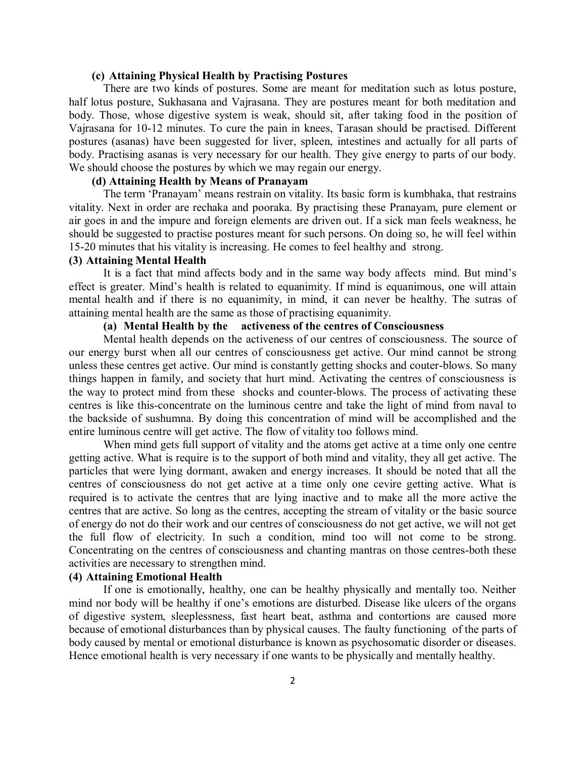#### **(c) Attaining Physical Health by Practising Postures**

There are two kinds of postures. Some are meant for meditation such as lotus posture, half lotus posture, Sukhasana and Vajrasana. They are postures meant for both meditation and body. Those, whose digestive system is weak, should sit, after taking food in the position of Vajrasana for 10-12 minutes. To cure the pain in knees, Tarasan should be practised. Different postures (asanas) have been suggested for liver, spleen, intestines and actually for all parts of body. Practising asanas is very necessary for our health. They give energy to parts of our body. We should choose the postures by which we may regain our energy.

## **(d) Attaining Health by Means of Pranayam**

The term 'Pranayam' means restrain on vitality. Its basic form is kumbhaka, that restrains vitality. Next in order are rechaka and pooraka. By practising these Pranayam, pure element or air goes in and the impure and foreign elements are driven out. If a sick man feels weakness, he should be suggested to practise postures meant for such persons. On doing so, he will feel within 15-20 minutes that his vitality is increasing. He comes to feel healthy and strong.

# **(3) Attaining Mental Health**

It is a fact that mind affects body and in the same way body affects mind. But mind's effect is greater. Mind's health is related to equanimity. If mind is equanimous, one will attain mental health and if there is no equanimity, in mind, it can never be healthy. The sutras of attaining mental health are the same as those of practising equanimity.

## **(a) Mental Health by the activeness of the centres of Consciousness**

Mental health depends on the activeness of our centres of consciousness. The source of our energy burst when all our centres of consciousness get active. Our mind cannot be strong unless these centres get active. Our mind is constantly getting shocks and couter-blows. So many things happen in family, and society that hurt mind. Activating the centres of consciousness is the way to protect mind from these shocks and counter-blows. The process of activating these centres is like this-concentrate on the luminous centre and take the light of mind from naval to the backside of sushumna. By doing this concentration of mind will be accomplished and the entire luminous centre will get active. The flow of vitality too follows mind.

When mind gets full support of vitality and the atoms get active at a time only one centre getting active. What is require is to the support of both mind and vitality, they all get active. The particles that were lying dormant, awaken and energy increases. It should be noted that all the centres of consciousness do not get active at a time only one cevire getting active. What is required is to activate the centres that are lying inactive and to make all the more active the centres that are active. So long as the centres, accepting the stream of vitality or the basic source of energy do not do their work and our centres of consciousness do not get active, we will not get the full flow of electricity. In such a condition, mind too will not come to be strong. Concentrating on the centres of consciousness and chanting mantras on those centres-both these activities are necessary to strengthen mind.

#### **(4) Attaining Emotional Health**

If one is emotionally, healthy, one can be healthy physically and mentally too. Neither mind nor body will be healthy if one's emotions are disturbed. Disease like ulcers of the organs of digestive system, sleeplessness, fast heart beat, asthma and contortions are caused more because of emotional disturbances than by physical causes. The faulty functioning of the parts of body caused by mental or emotional disturbance is known as psychosomatic disorder or diseases. Hence emotional health is very necessary if one wants to be physically and mentally healthy.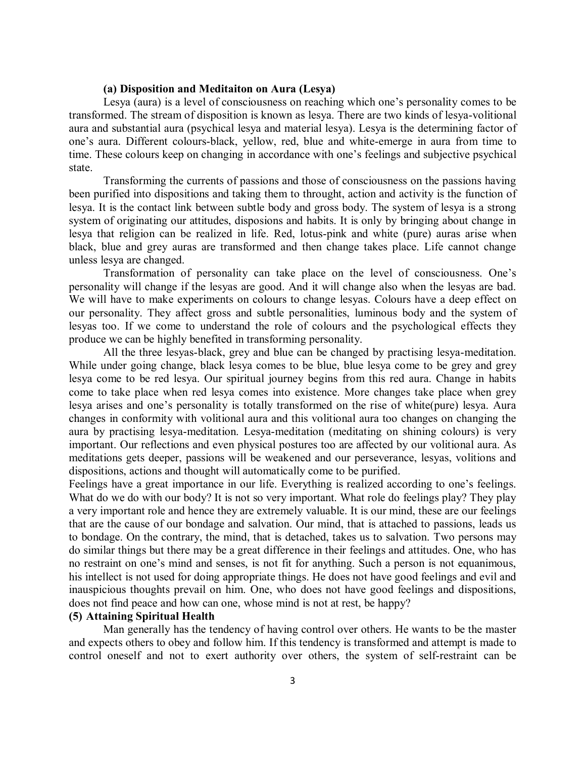#### **(a) Disposition and Meditaiton on Aura (Lesya)**

Lesya (aura) is a level of consciousness on reaching which one's personality comes to be transformed. The stream of disposition is known as lesya. There are two kinds of lesya-volitional aura and substantial aura (psychical lesya and material lesya). Lesya is the determining factor of one's aura. Different colours-black, yellow, red, blue and white-emerge in aura from time to time. These colours keep on changing in accordance with one's feelings and subjective psychical state.

Transforming the currents of passions and those of consciousness on the passions having been purified into dispositions and taking them to throught, action and activity is the function of lesya. It is the contact link between subtle body and gross body. The system of lesya is a strong system of originating our attitudes, disposions and habits. It is only by bringing about change in lesya that religion can be realized in life. Red, lotus-pink and white (pure) auras arise when black, blue and grey auras are transformed and then change takes place. Life cannot change unless lesya are changed.

Transformation of personality can take place on the level of consciousness. One's personality will change if the lesyas are good. And it will change also when the lesyas are bad. We will have to make experiments on colours to change lesyas. Colours have a deep effect on our personality. They affect gross and subtle personalities, luminous body and the system of lesyas too. If we come to understand the role of colours and the psychological effects they produce we can be highly benefited in transforming personality.

All the three lesyas-black, grey and blue can be changed by practising lesya-meditation. While under going change, black lesya comes to be blue, blue lesya come to be grey and grey lesya come to be red lesya. Our spiritual journey begins from this red aura. Change in habits come to take place when red lesya comes into existence. More changes take place when grey lesya arises and one's personality is totally transformed on the rise of white(pure) lesya. Aura changes in conformity with volitional aura and this volitional aura too changes on changing the aura by practising lesya-meditation. Lesya-meditation (meditating on shining colours) is very important. Our reflections and even physical postures too are affected by our volitional aura. As meditations gets deeper, passions will be weakened and our perseverance, lesyas, volitions and dispositions, actions and thought will automatically come to be purified.

Feelings have a great importance in our life. Everything is realized according to one's feelings. What do we do with our body? It is not so very important. What role do feelings play? They play a very important role and hence they are extremely valuable. It is our mind, these are our feelings that are the cause of our bondage and salvation. Our mind, that is attached to passions, leads us to bondage. On the contrary, the mind, that is detached, takes us to salvation. Two persons may do similar things but there may be a great difference in their feelings and attitudes. One, who has no restraint on one's mind and senses, is not fit for anything. Such a person is not equanimous, his intellect is not used for doing appropriate things. He does not have good feelings and evil and inauspicious thoughts prevail on him. One, who does not have good feelings and dispositions, does not find peace and how can one, whose mind is not at rest, be happy?

## **(5) Attaining Spiritual Health**

Man generally has the tendency of having control over others. He wants to be the master and expects others to obey and follow him. If this tendency is transformed and attempt is made to control oneself and not to exert authority over others, the system of self-restraint can be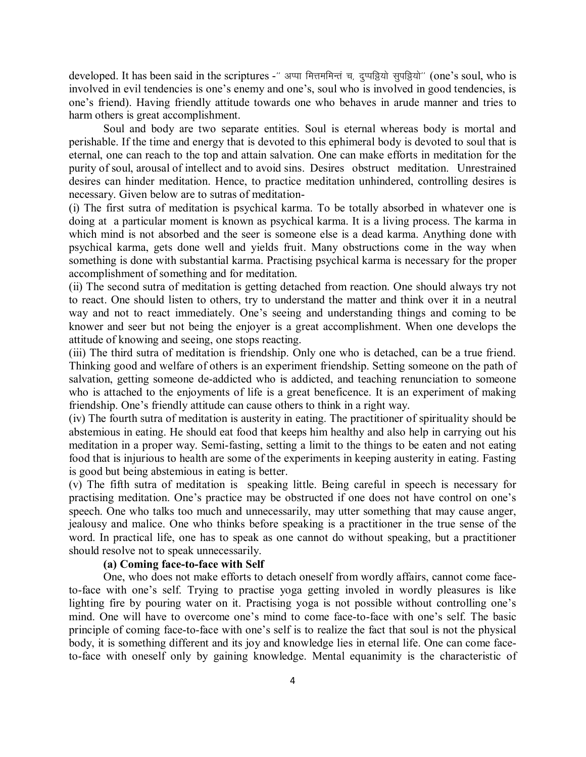developed. It has been said in the scriptures -" अप्पा मित्तममिन्तं च, दुप्पड्वियो सुपड्वियो" (one's soul, who is involved in evil tendencies is one's enemy and one's, soul who is involved in good tendencies, is one's friend). Having friendly attitude towards one who behaves in arude manner and tries to harm others is great accomplishment.

Soul and body are two separate entities. Soul is eternal whereas body is mortal and perishable. If the time and energy that is devoted to this ephimeral body is devoted to soul that is eternal, one can reach to the top and attain salvation. One can make efforts in meditation for the purity of soul, arousal of intellect and to avoid sins. Desires obstruct meditation. Unrestrained desires can hinder meditation. Hence, to practice meditation unhindered, controlling desires is necessary. Given below are to sutras of meditation-

(i) The first sutra of meditation is psychical karma. To be totally absorbed in whatever one is doing at a particular moment is known as psychical karma. It is a living process. The karma in which mind is not absorbed and the seer is someone else is a dead karma. Anything done with psychical karma, gets done well and yields fruit. Many obstructions come in the way when something is done with substantial karma. Practising psychical karma is necessary for the proper accomplishment of something and for meditation.

(ii) The second sutra of meditation is getting detached from reaction. One should always try not to react. One should listen to others, try to understand the matter and think over it in a neutral way and not to react immediately. One's seeing and understanding things and coming to be knower and seer but not being the enjoyer is a great accomplishment. When one develops the attitude of knowing and seeing, one stops reacting.

(iii) The third sutra of meditation is friendship. Only one who is detached, can be a true friend. Thinking good and welfare of others is an experiment friendship. Setting someone on the path of salvation, getting someone de-addicted who is addicted, and teaching renunciation to someone who is attached to the enjoyments of life is a great beneficence. It is an experiment of making friendship. One's friendly attitude can cause others to think in a right way.

(iv) The fourth sutra of meditation is austerity in eating. The practitioner of spirituality should be abstemious in eating. He should eat food that keeps him healthy and also help in carrying out his meditation in a proper way. Semi-fasting, setting a limit to the things to be eaten and not eating food that is injurious to health are some of the experiments in keeping austerity in eating. Fasting is good but being abstemious in eating is better.

(v) The fifth sutra of meditation is speaking little. Being careful in speech is necessary for practising meditation. One's practice may be obstructed if one does not have control on one's speech. One who talks too much and unnecessarily, may utter something that may cause anger, jealousy and malice. One who thinks before speaking is a practitioner in the true sense of the word. In practical life, one has to speak as one cannot do without speaking, but a practitioner should resolve not to speak unnecessarily.

#### **(a) Coming face-to-face with Self**

One, who does not make efforts to detach oneself from wordly affairs, cannot come faceto-face with one's self. Trying to practise yoga getting involed in wordly pleasures is like lighting fire by pouring water on it. Practising yoga is not possible without controlling one's mind. One will have to overcome one's mind to come face-to-face with one's self. The basic principle of coming face-to-face with one's self is to realize the fact that soul is not the physical body, it is something different and its joy and knowledge lies in eternal life. One can come faceto-face with oneself only by gaining knowledge. Mental equanimity is the characteristic of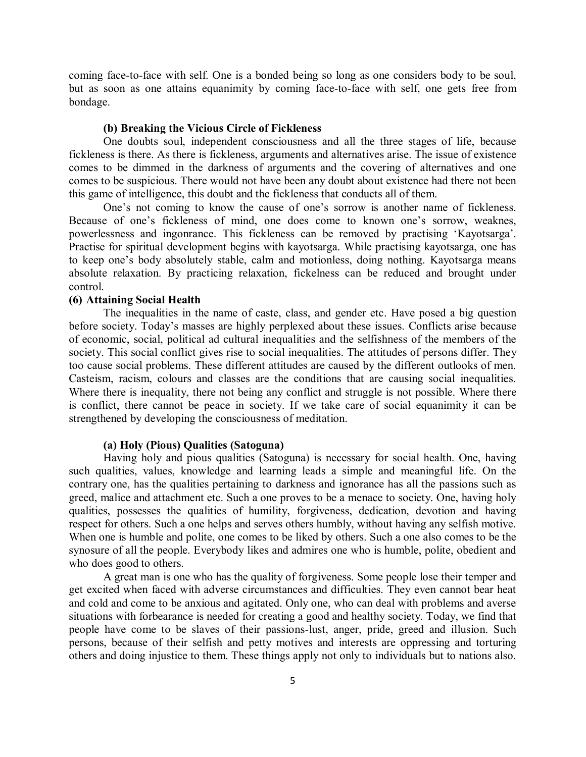coming face-to-face with self. One is a bonded being so long as one considers body to be soul, but as soon as one attains equanimity by coming face-to-face with self, one gets free from bondage.

#### **(b) Breaking the Vicious Circle of Fickleness**

One doubts soul, independent consciousness and all the three stages of life, because fickleness is there. As there is fickleness, arguments and alternatives arise. The issue of existence comes to be dimmed in the darkness of arguments and the covering of alternatives and one comes to be suspicious. There would not have been any doubt about existence had there not been this game of intelligence, this doubt and the fickleness that conducts all of them.

One's not coming to know the cause of one's sorrow is another name of fickleness. Because of one's fickleness of mind, one does come to known one's sorrow, weaknes, powerlessness and ingonrance. This fickleness can be removed by practising 'Kayotsarga'. Practise for spiritual development begins with kayotsarga. While practising kayotsarga, one has to keep one's body absolutely stable, calm and motionless, doing nothing. Kayotsarga means absolute relaxation. By practicing relaxation, fickelness can be reduced and brought under control.

#### **(6) Attaining Social Health**

The inequalities in the name of caste, class, and gender etc. Have posed a big question before society. Today's masses are highly perplexed about these issues. Conflicts arise because of economic, social, political ad cultural inequalities and the selfishness of the members of the society. This social conflict gives rise to social inequalities. The attitudes of persons differ. They too cause social problems. These different attitudes are caused by the different outlooks of men. Casteism, racism, colours and classes are the conditions that are causing social inequalities. Where there is inequality, there not being any conflict and struggle is not possible. Where there is conflict, there cannot be peace in society. If we take care of social equanimity it can be strengthened by developing the consciousness of meditation.

#### **(a) Holy (Pious) Qualities (Satoguna)**

Having holy and pious qualities (Satoguna) is necessary for social health. One, having such qualities, values, knowledge and learning leads a simple and meaningful life. On the contrary one, has the qualities pertaining to darkness and ignorance has all the passions such as greed, malice and attachment etc. Such a one proves to be a menace to society. One, having holy qualities, possesses the qualities of humility, forgiveness, dedication, devotion and having respect for others. Such a one helps and serves others humbly, without having any selfish motive. When one is humble and polite, one comes to be liked by others. Such a one also comes to be the synosure of all the people. Everybody likes and admires one who is humble, polite, obedient and who does good to others.

A great man is one who has the quality of forgiveness. Some people lose their temper and get excited when faced with adverse circumstances and difficulties. They even cannot bear heat and cold and come to be anxious and agitated. Only one, who can deal with problems and averse situations with forbearance is needed for creating a good and healthy society. Today, we find that people have come to be slaves of their passions-lust, anger, pride, greed and illusion. Such persons, because of their selfish and petty motives and interests are oppressing and torturing others and doing injustice to them. These things apply not only to individuals but to nations also.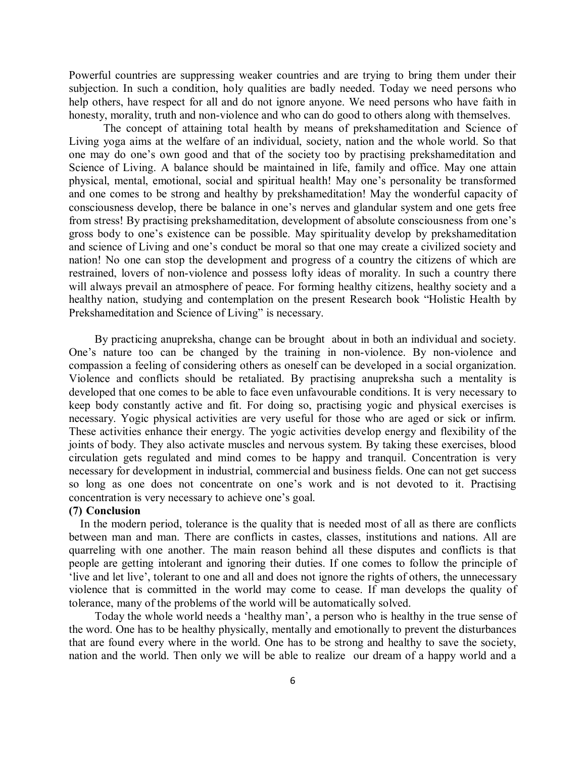Powerful countries are suppressing weaker countries and are trying to bring them under their subjection. In such a condition, holy qualities are badly needed. Today we need persons who help others, have respect for all and do not ignore anyone. We need persons who have faith in honesty, morality, truth and non-violence and who can do good to others along with themselves.

The concept of attaining total health by means of prekshameditation and Science of Living yoga aims at the welfare of an individual, society, nation and the whole world. So that one may do one's own good and that of the society too by practising prekshameditation and Science of Living. A balance should be maintained in life, family and office. May one attain physical, mental, emotional, social and spiritual health! May one's personality be transformed and one comes to be strong and healthy by prekshameditation! May the wonderful capacity of consciousness develop, there be balance in one's nerves and glandular system and one gets free from stress! By practising prekshameditation, development of absolute consciousness from one's gross body to one's existence can be possible. May spirituality develop by prekshameditation and science of Living and one's conduct be moral so that one may create a civilized society and nation! No one can stop the development and progress of a country the citizens of which are restrained, lovers of non-violence and possess lofty ideas of morality. In such a country there will always prevail an atmosphere of peace. For forming healthy citizens, healthy society and a healthy nation, studying and contemplation on the present Research book "Holistic Health by Prekshameditation and Science of Living" is necessary.

 By practicing anupreksha, change can be brought about in both an individual and society. One's nature too can be changed by the training in non-violence. By non-violence and compassion a feeling of considering others as oneself can be developed in a social organization. Violence and conflicts should be retaliated. By practising anupreksha such a mentality is developed that one comes to be able to face even unfavourable conditions. It is very necessary to keep body constantly active and fit. For doing so, practising yogic and physical exercises is necessary. Yogic physical activities are very useful for those who are aged or sick or infirm. These activities enhance their energy. The yogic activities develop energy and flexibility of the joints of body. They also activate muscles and nervous system. By taking these exercises, blood circulation gets regulated and mind comes to be happy and tranquil. Concentration is very necessary for development in industrial, commercial and business fields. One can not get success so long as one does not concentrate on one's work and is not devoted to it. Practising concentration is very necessary to achieve one's goal.

## **(7) Conclusion**

 In the modern period, tolerance is the quality that is needed most of all as there are conflicts between man and man. There are conflicts in castes, classes, institutions and nations. All are quarreling with one another. The main reason behind all these disputes and conflicts is that people are getting intolerant and ignoring their duties. If one comes to follow the principle of 'live and let live', tolerant to one and all and does not ignore the rights of others, the unnecessary violence that is committed in the world may come to cease. If man develops the quality of tolerance, many of the problems of the world will be automatically solved.

 Today the whole world needs a 'healthy man', a person who is healthy in the true sense of the word. One has to be healthy physically, mentally and emotionally to prevent the disturbances that are found every where in the world. One has to be strong and healthy to save the society, nation and the world. Then only we will be able to realize our dream of a happy world and a